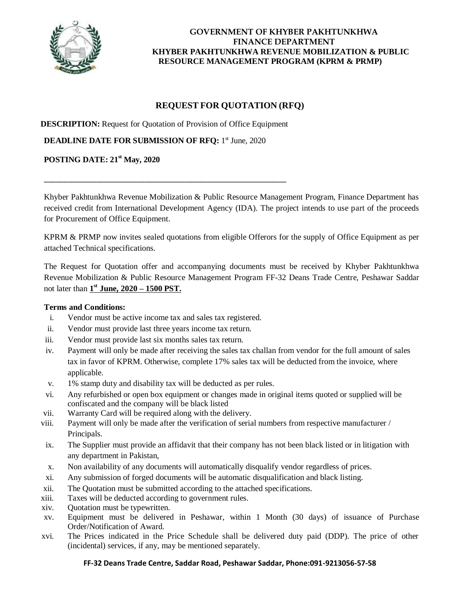

# **GOVERNMENT OF KHYBER PAKHTUNKHWA FINANCE DEPARTMENT KHYBER PAKHTUNKHWA REVENUE MOBILIZATION & PUBLIC RESOURCE MANAGEMENT PROGRAM (KPRM & PRMP)**

# **REQUEST FOR QUOTATION (RFQ)**

**DESCRIPTION:** Request for Quotation of Provision of Office Equipment

\_\_\_\_\_\_\_\_\_\_\_\_\_\_\_\_\_\_\_\_\_\_\_\_\_\_\_\_\_\_\_\_\_\_\_\_\_\_\_\_\_\_\_\_\_\_\_\_\_\_\_\_\_\_\_\_\_\_\_\_

**DEADLINE DATE FOR SUBMISSION OF RFQ:** 1<sup>st</sup> June, 2020

# **POSTING DATE: 21st May, 2020**

Khyber Pakhtunkhwa Revenue Mobilization & Public Resource Management Program, Finance Department has received credit from International Development Agency (IDA). The project intends to use part of the proceeds for Procurement of Office Equipment.

KPRM & PRMP now invites sealed quotations from eligible Offerors for the supply of Office Equipment as per attached Technical specifications.

The Request for Quotation offer and accompanying documents must be received by Khyber Pakhtunkhwa Revenue Mobilization & Public Resource Management Program FF-32 Deans Trade Centre, Peshawar Saddar not later than **1 st June, 2020 – 1500 PST.**

#### **Terms and Conditions:**

- i. Vendor must be active income tax and sales tax registered.
- ii. Vendor must provide last three years income tax return.
- iii. Vendor must provide last six months sales tax return.
- iv. Payment will only be made after receiving the sales tax challan from vendor for the full amount of sales tax in favor of KPRM. Otherwise, complete 17% sales tax will be deducted from the invoice, where applicable.
- v. 1% stamp duty and disability tax will be deducted as per rules.
- vi. Any refurbished or open box equipment or changes made in original items quoted or supplied will be confiscated and the company will be black listed
- vii. Warranty Card will be required along with the delivery.
- viii. Payment will only be made after the verification of serial numbers from respective manufacturer / Principals.
- ix. The Supplier must provide an affidavit that their company has not been black listed or in litigation with any department in Pakistan,
- x. Non availability of any documents will automatically disqualify vendor regardless of prices.
- xi. Any submission of forged documents will be automatic disqualification and black listing.
- xii. The Quotation must be submitted according to the attached specifications.
- xiii. Taxes will be deducted according to government rules.
- xiv. Quotation must be typewritten.
- xv. Equipment must be delivered in Peshawar, within 1 Month (30 days) of issuance of Purchase Order/Notification of Award.
- xvi. The Prices indicated in the Price Schedule shall be delivered duty paid (DDP). The price of other (incidental) services, if any, may be mentioned separately.

#### **FF-32 Deans Trade Centre, Saddar Road, Peshawar Saddar, Phone:091-9213056-57-58**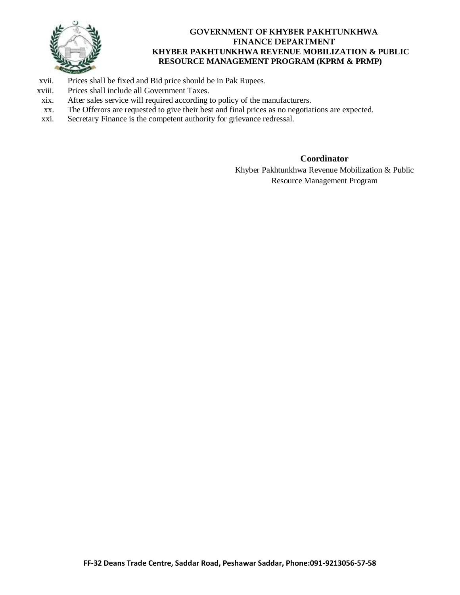

# **GOVERNMENT OF KHYBER PAKHTUNKHWA FINANCE DEPARTMENT KHYBER PAKHTUNKHWA REVENUE MOBILIZATION & PUBLIC RESOURCE MANAGEMENT PROGRAM (KPRM & PRMP)**

- xvii. Prices shall be fixed and Bid price should be in Pak Rupees.
- xviii. Prices shall include all Government Taxes.
- xix. After sales service will required according to policy of the manufacturers.
- xx. The Offerors are requested to give their best and final prices as no negotiations are expected.
- xxi. Secretary Finance is the competent authority for grievance redressal.

## **Coordinator**

Khyber Pakhtunkhwa Revenue Mobilization & Public Resource Management Program